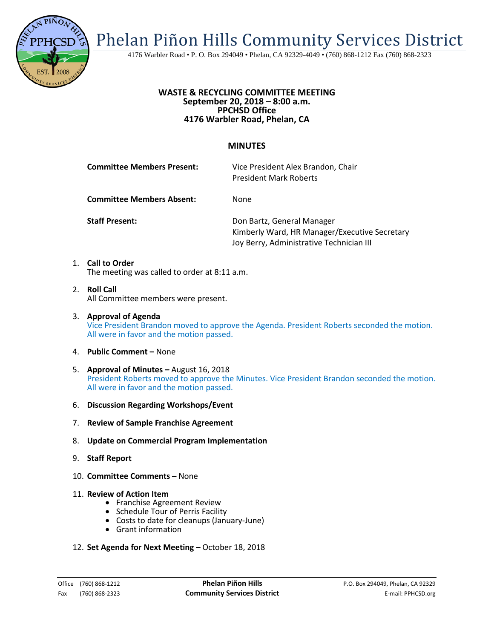

Phelan Piñon Hills Community Services District

4176 Warbler Road • P. O. Box 294049 • Phelan, CA 92329-4049 • (760) 868-1212 Fax (760) 868-2323

## **WASTE & RECYCLING COMMITTEE MEETING September 20, 2018 – 8:00 a.m. PPCHSD Office 4176 Warbler Road, Phelan, CA**

## **MINUTES**

| <b>Committee Members Present:</b> | Vice President Alex Brandon, Chair<br><b>President Mark Roberts</b>                                                     |
|-----------------------------------|-------------------------------------------------------------------------------------------------------------------------|
| <b>Committee Members Absent:</b>  | None                                                                                                                    |
| <b>Staff Present:</b>             | Don Bartz, General Manager<br>Kimberly Ward, HR Manager/Executive Secretary<br>Joy Berry, Administrative Technician III |
|                                   |                                                                                                                         |

1. **Call to Order**  The meeting was called to order at 8:11 a.m.

- 2. **Roll Call** All Committee members were present.
- 3. **Approval of Agenda** Vice President Brandon moved to approve the Agenda. President Roberts seconded the motion. All were in favor and the motion passed.
- 4. **Public Comment –** None
- 5. **Approval of Minutes –** August 16, 2018 President Roberts moved to approve the Minutes. Vice President Brandon seconded the motion. All were in favor and the motion passed.
- 6. **Discussion Regarding Workshops/Event**
- 7. **Review of Sample Franchise Agreement**
- 8. **Update on Commercial Program Implementation**
- 9. **Staff Report**
- 10. **Committee Comments –** None
- 
- 11. **Review of Action Item**<br>• Franchise Agreement Review<br>• Schedule Tour of Perris Facility
	-
	- Costs to date for cleanups (January-June) Grant information
	-
- 12. **Set Agenda for Next Meeting –** October 18, 2018